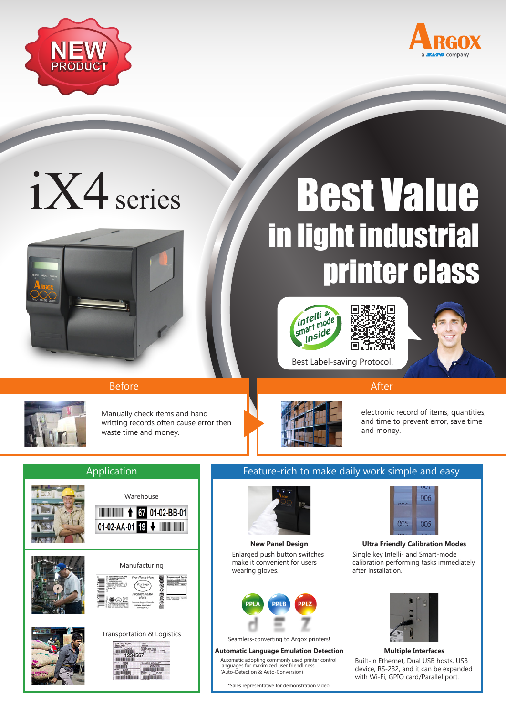



# iX4 series



# Best Value in light industrial printer class









Before After After After After After After

Manually check items and hand writting records often cause error then waste time and money.



electronic record of items, quantities, and time to prevent error, save time and money.

## **Application**



# Feature-rich to make daily work simple and easy

Best Label-saving Protocol!



Enlarged push button switches make it convenient for users wearing gloves.



Seamless-converting to Argox printers!

#### **Automatic Language Emulation Detection Multiple Interfaces**

Automatic adopting commonly used printer control languages for maximized user friendliness. (Auto-Detection & Auto-Conversion)

\*Sales representative for demonstration video.



#### Single key Intelli- and Smart-mode calibration performing tasks immediately after installation. **New Panel Design Ultra Friendly Calibration Modes**



### Built-in Ethernet, Dual USB hosts, USB device, RS-232, and it can be expanded with Wi-Fi, GPIO card/Parallel port.